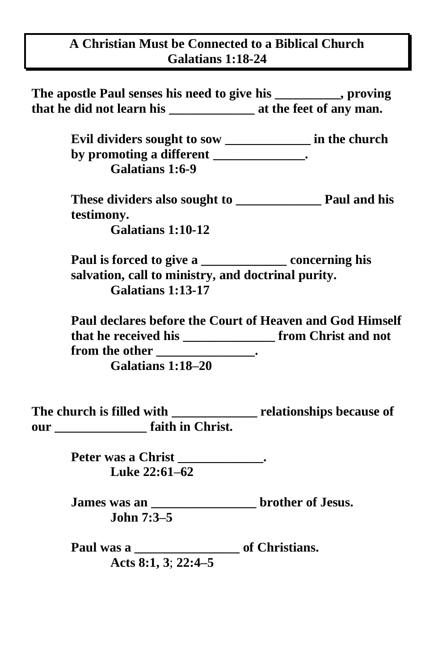## **A Christian Must be Connected to a Biblical Church Galatians 1:18-24**

| The apostle Paul senses his need to give his _________, proving                                                                     |
|-------------------------------------------------------------------------------------------------------------------------------------|
|                                                                                                                                     |
| Evil dividers sought to sow _______________ in the church                                                                           |
| by promoting a different _____________.<br>Galatians 1:6-9                                                                          |
| testimony.<br><b>Galatians 1:10-12</b>                                                                                              |
| Paul is forced to give a ________________ concerning his<br>salvation, call to ministry, and doctrinal purity.<br>Galatians 1:13-17 |
| Paul declares before the Court of Heaven and God Himself                                                                            |
| that he received his _____________________ from Christ and not<br>from the other ____________________.<br>Galatians 1:18–20         |
| The church is filled with __________________ relationships because of                                                               |
| Peter was a Christ _____________.<br>Luke 22:61-62                                                                                  |
| James was an __________________________ brother of Jesus.<br>John 7:3-5                                                             |

**Paul was a \_\_\_\_\_\_\_\_\_\_\_\_\_\_\_\_ of Christians. Acts 8:1, 3**; **22:4–5**